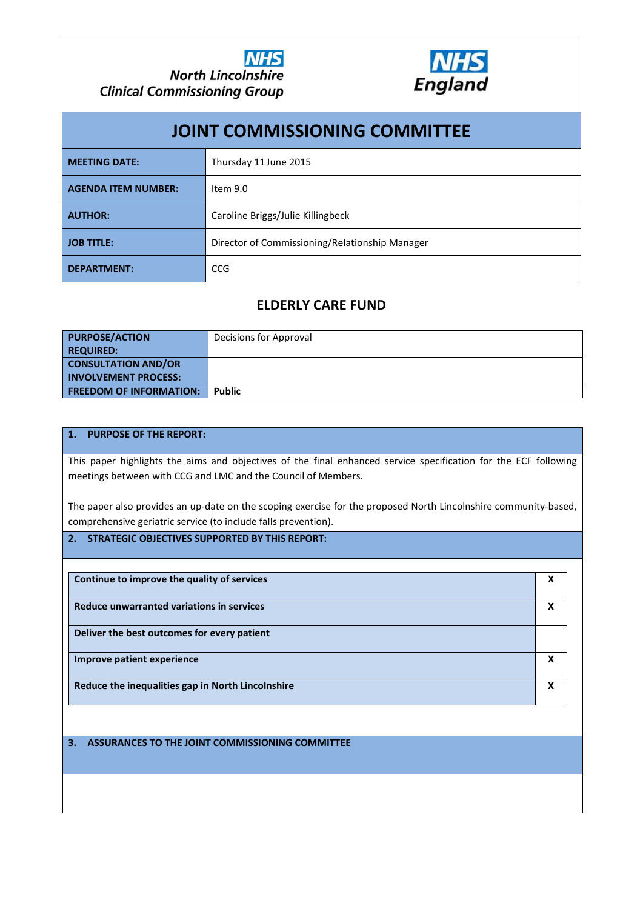

| <b>JOINT COMMISSIONING COMMITTEE</b> |                                                |  |  |  |  |
|--------------------------------------|------------------------------------------------|--|--|--|--|
| <b>MEETING DATE:</b>                 | Thursday 11 June 2015                          |  |  |  |  |
| <b>AGENDA ITEM NUMBER:</b>           | Item 9.0                                       |  |  |  |  |
| <b>AUTHOR:</b>                       | Caroline Briggs/Julie Killingbeck              |  |  |  |  |
| <b>JOB TITLE:</b>                    | Director of Commissioning/Relationship Manager |  |  |  |  |
| <b>DEPARTMENT:</b>                   | CCG                                            |  |  |  |  |

# **ELDERLY CARE FUND**

| <b>PURPOSE/ACTION</b>          | Decisions for Approval |
|--------------------------------|------------------------|
| REQUIRED:                      |                        |
| <b>CONSULTATION AND/OR</b>     |                        |
| <b>INVOLVEMENT PROCESS:</b>    |                        |
| <b>FREEDOM OF INFORMATION:</b> | <b>Public</b>          |

#### **1. PURPOSE OF THE REPORT:**

This paper highlights the aims and objectives of the final enhanced service specification for the ECF following meetings between with CCG and LMC and the Council of Members.

The paper also provides an up-date on the scoping exercise for the proposed North Lincolnshire community-based, comprehensive geriatric service (to include falls prevention).

#### **2. STRATEGIC OBJECTIVES SUPPORTED BY THIS REPORT:**

| Continue to improve the quality of services       | χ |
|---------------------------------------------------|---|
| Reduce unwarranted variations in services         | χ |
| Deliver the best outcomes for every patient       |   |
| Improve patient experience                        | х |
| Reduce the inequalities gap in North Lincolnshire | X |

#### **3. ASSURANCES TO THE JOINT COMMISSIONING COMMITTEE**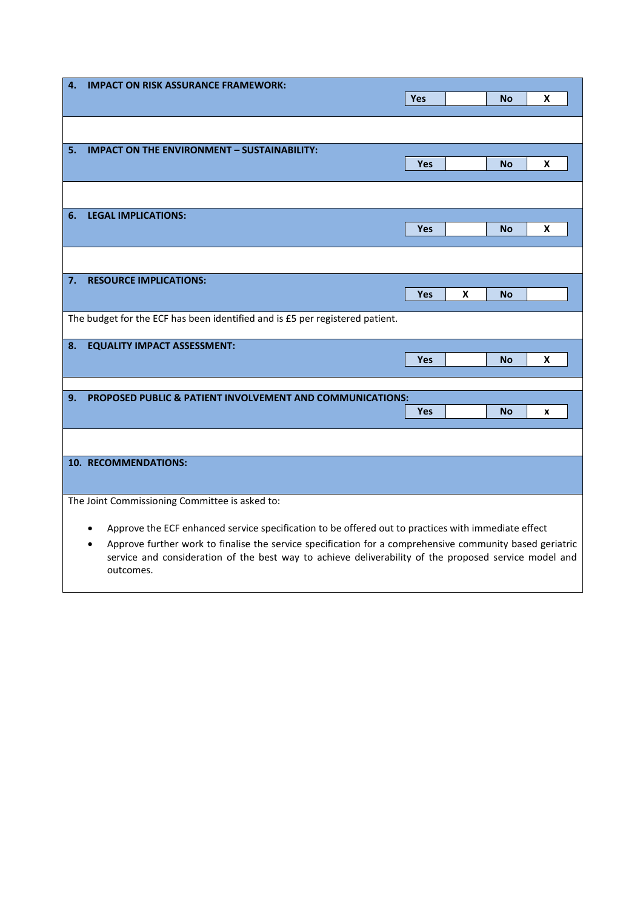| 4.                                                                                                                    | <b>IMPACT ON RISK ASSURANCE FRAMEWORK:</b>                                                            |            |   |           |   |  |
|-----------------------------------------------------------------------------------------------------------------------|-------------------------------------------------------------------------------------------------------|------------|---|-----------|---|--|
|                                                                                                                       |                                                                                                       | <b>Yes</b> |   | No        | X |  |
|                                                                                                                       |                                                                                                       |            |   |           |   |  |
|                                                                                                                       |                                                                                                       |            |   |           |   |  |
| 5.                                                                                                                    | <b>IMPACT ON THE ENVIRONMENT - SUSTAINABILITY:</b>                                                    |            |   |           |   |  |
|                                                                                                                       |                                                                                                       | <b>Yes</b> |   | <b>No</b> | X |  |
|                                                                                                                       |                                                                                                       |            |   |           |   |  |
|                                                                                                                       |                                                                                                       |            |   |           |   |  |
| 6.                                                                                                                    | <b>LEGAL IMPLICATIONS:</b>                                                                            |            |   |           |   |  |
|                                                                                                                       |                                                                                                       | <b>Yes</b> |   | <b>No</b> | X |  |
|                                                                                                                       |                                                                                                       |            |   |           |   |  |
|                                                                                                                       |                                                                                                       |            |   |           |   |  |
| 7.                                                                                                                    | <b>RESOURCE IMPLICATIONS:</b>                                                                         |            |   |           |   |  |
|                                                                                                                       |                                                                                                       | Yes        | X | <b>No</b> |   |  |
|                                                                                                                       |                                                                                                       |            |   |           |   |  |
|                                                                                                                       | The budget for the ECF has been identified and is £5 per registered patient.                          |            |   |           |   |  |
| 8.                                                                                                                    |                                                                                                       |            |   |           |   |  |
|                                                                                                                       | <b>EQUALITY IMPACT ASSESSMENT:</b>                                                                    | Yes        |   | <b>No</b> | x |  |
|                                                                                                                       |                                                                                                       |            |   |           |   |  |
|                                                                                                                       |                                                                                                       |            |   |           |   |  |
| 9.                                                                                                                    | <b>PROPOSED PUBLIC &amp; PATIENT INVOLVEMENT AND COMMUNICATIONS:</b>                                  |            |   |           |   |  |
|                                                                                                                       |                                                                                                       | <b>Yes</b> |   | <b>No</b> | X |  |
|                                                                                                                       |                                                                                                       |            |   |           |   |  |
|                                                                                                                       |                                                                                                       |            |   |           |   |  |
|                                                                                                                       | 10. RECOMMENDATIONS:                                                                                  |            |   |           |   |  |
|                                                                                                                       |                                                                                                       |            |   |           |   |  |
| The Joint Commissioning Committee is asked to:                                                                        |                                                                                                       |            |   |           |   |  |
|                                                                                                                       |                                                                                                       |            |   |           |   |  |
| Approve the ECF enhanced service specification to be offered out to practices with immediate effect<br>٠              |                                                                                                       |            |   |           |   |  |
| Approve further work to finalise the service specification for a comprehensive community based geriatric<br>$\bullet$ |                                                                                                       |            |   |           |   |  |
|                                                                                                                       | service and consideration of the best way to achieve deliverability of the proposed service model and |            |   |           |   |  |
|                                                                                                                       | outcomes.                                                                                             |            |   |           |   |  |
|                                                                                                                       |                                                                                                       |            |   |           |   |  |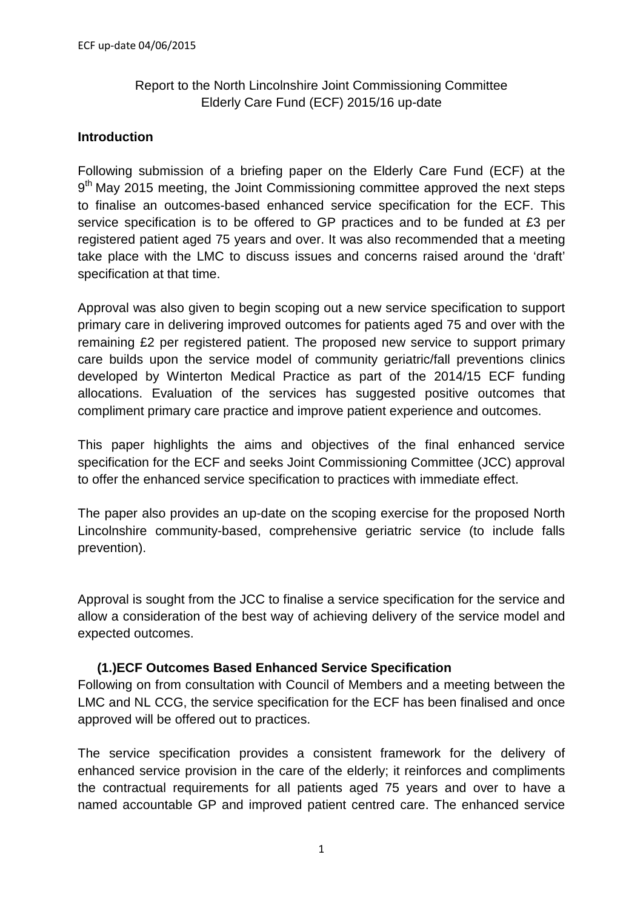# Report to the North Lincolnshire Joint Commissioning Committee Elderly Care Fund (ECF) 2015/16 up-date

## **Introduction**

Following submission of a briefing paper on the Elderly Care Fund (ECF) at the  $9<sup>th</sup>$  May 2015 meeting, the Joint Commissioning committee approved the next steps to finalise an outcomes-based enhanced service specification for the ECF. This service specification is to be offered to GP practices and to be funded at £3 per registered patient aged 75 years and over. It was also recommended that a meeting take place with the LMC to discuss issues and concerns raised around the 'draft' specification at that time.

Approval was also given to begin scoping out a new service specification to support primary care in delivering improved outcomes for patients aged 75 and over with the remaining £2 per registered patient. The proposed new service to support primary care builds upon the service model of community geriatric/fall preventions clinics developed by Winterton Medical Practice as part of the 2014/15 ECF funding allocations. Evaluation of the services has suggested positive outcomes that compliment primary care practice and improve patient experience and outcomes.

This paper highlights the aims and objectives of the final enhanced service specification for the ECF and seeks Joint Commissioning Committee (JCC) approval to offer the enhanced service specification to practices with immediate effect.

The paper also provides an up-date on the scoping exercise for the proposed North Lincolnshire community-based, comprehensive geriatric service (to include falls prevention).

Approval is sought from the JCC to finalise a service specification for the service and allow a consideration of the best way of achieving delivery of the service model and expected outcomes.

# **(1.)ECF Outcomes Based Enhanced Service Specification**

Following on from consultation with Council of Members and a meeting between the LMC and NL CCG, the service specification for the ECF has been finalised and once approved will be offered out to practices.

The service specification provides a consistent framework for the delivery of enhanced service provision in the care of the elderly; it reinforces and compliments the contractual requirements for all patients aged 75 years and over to have a named accountable GP and improved patient centred care. The enhanced service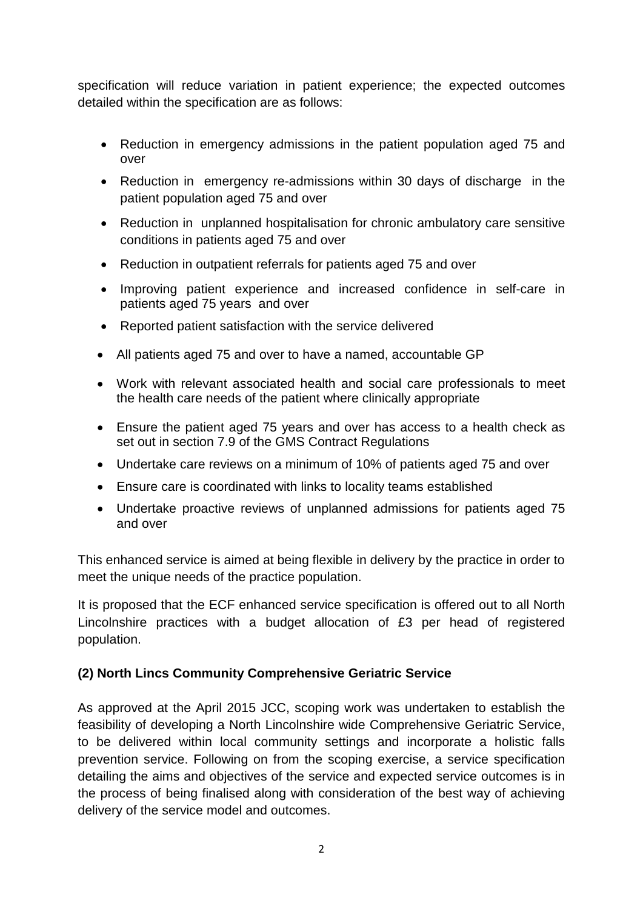specification will reduce variation in patient experience; the expected outcomes detailed within the specification are as follows:

- Reduction in emergency admissions in the patient population aged 75 and over
- Reduction in emergency re-admissions within 30 days of discharge in the patient population aged 75 and over
- Reduction in unplanned hospitalisation for chronic ambulatory care sensitive conditions in patients aged 75 and over
- Reduction in outpatient referrals for patients aged 75 and over
- Improving patient experience and increased confidence in self-care in patients aged 75 years and over
- Reported patient satisfaction with the service delivered
- All patients aged 75 and over to have a named, accountable GP
- Work with relevant associated health and social care professionals to meet the health care needs of the patient where clinically appropriate
- Ensure the patient aged 75 years and over has access to a health check as set out in section 7.9 of the GMS Contract Regulations
- Undertake care reviews on a minimum of 10% of patients aged 75 and over
- Ensure care is coordinated with links to locality teams established
- Undertake proactive reviews of unplanned admissions for patients aged 75 and over

This enhanced service is aimed at being flexible in delivery by the practice in order to meet the unique needs of the practice population.

It is proposed that the ECF enhanced service specification is offered out to all North Lincolnshire practices with a budget allocation of £3 per head of registered population.

### **(2) North Lincs Community Comprehensive Geriatric Service**

As approved at the April 2015 JCC, scoping work was undertaken to establish the feasibility of developing a North Lincolnshire wide Comprehensive Geriatric Service, to be delivered within local community settings and incorporate a holistic falls prevention service. Following on from the scoping exercise, a service specification detailing the aims and objectives of the service and expected service outcomes is in the process of being finalised along with consideration of the best way of achieving delivery of the service model and outcomes.